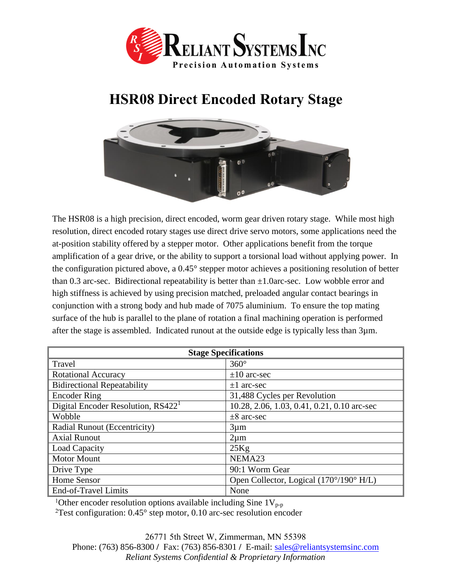

## **HSR08 Direct Encoded Rotary Stage**



The HSR08 is a high precision, direct encoded, worm gear driven rotary stage. While most high resolution, direct encoded rotary stages use direct drive servo motors, some applications need the at-position stability offered by a stepper motor. Other applications benefit from the torque amplification of a gear drive, or the ability to support a torsional load without applying power. In the configuration pictured above, a 0.45° stepper motor achieves a positioning resolution of better than 0.3 arc-sec. Bidirectional repeatability is better than  $\pm 1.0$ arc-sec. Low wobble error and high stiffness is achieved by using precision matched, preloaded angular contact bearings in conjunction with a strong body and hub made of 7075 aluminium. To ensure the top mating surface of the hub is parallel to the plane of rotation a final machining operation is performed after the stage is assembled. Indicated runout at the outside edge is typically less than 3µm.

| <b>Stage Specifications</b>                    |                                             |
|------------------------------------------------|---------------------------------------------|
| Travel                                         | $360^\circ$                                 |
| <b>Rotational Accuracy</b>                     | $\pm 10$ arc-sec                            |
| <b>Bidirectional Repeatability</b>             | $\pm 1$ arc-sec                             |
| <b>Encoder Ring</b>                            | 31,488 Cycles per Revolution                |
| Digital Encoder Resolution, RS422 <sup>1</sup> | 10.28, 2.06, 1.03, 0.41, 0.21, 0.10 arc-sec |
| Wobble                                         | $\pm 8$ arc-sec                             |
| Radial Runout (Eccentricity)                   | $3 \mu m$                                   |
| <b>Axial Runout</b>                            | $2\mu m$                                    |
| <b>Load Capacity</b>                           | 25Kg                                        |
| <b>Motor Mount</b>                             | NEMA <sub>23</sub>                          |
| Drive Type                                     | 90:1 Worm Gear                              |
| Home Sensor                                    | Open Collector, Logical (170°/190° H/L)     |
| <b>End-of-Travel Limits</b>                    | None                                        |

<sup>1</sup>Other encoder resolution options available including Sine  $1V_{p-p}$ 

<sup>2</sup>Test configuration: 0.45° step motor, 0.10 arc-sec resolution encoder

26771 5th Street W, Zimmerman, MN [55398](../../../../../Documents%20and%20Settings/steve/Local%20Settings/Temporary%20Internet%20Files/Content.Outlook/TN84BR1R/sales@reliantsystemsinc.com) 

Phone: (763) 856-8300 **/** Fax: (763) 856-8301 **/** E-mail: sales@reliantsystemsinc.com *Reliant Systems Confidential & Proprietary Information*